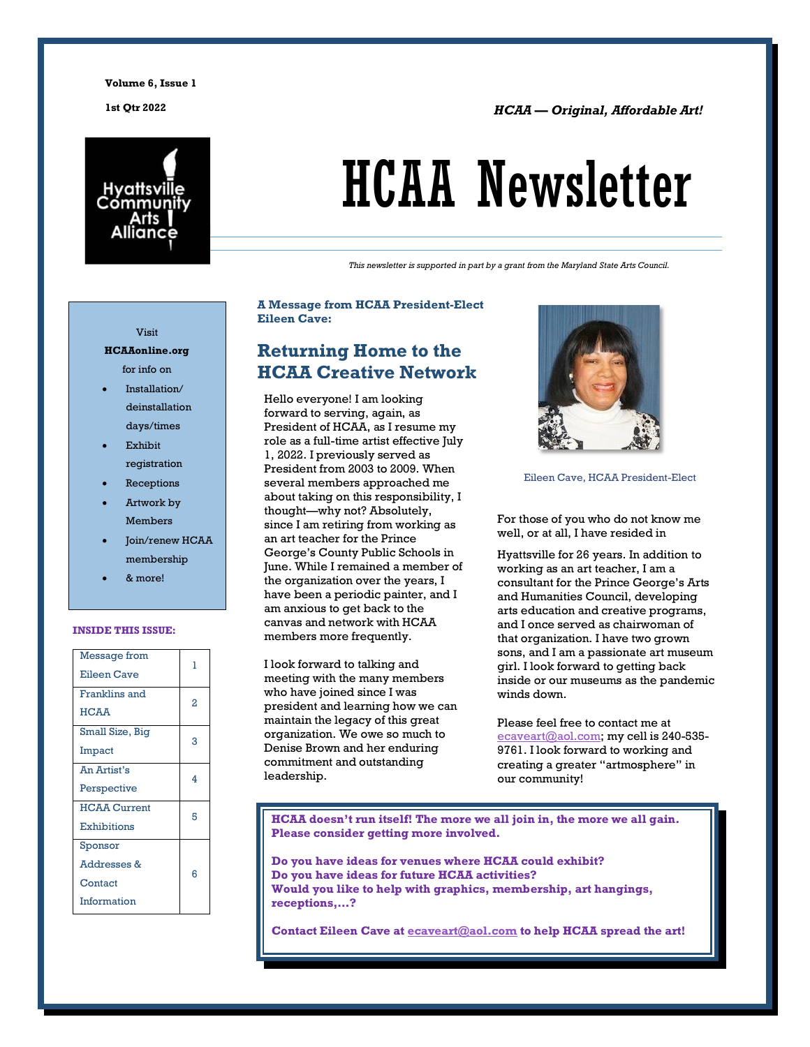**Volume 6, Issue 1**

**1st Qtr 2022** *HCAA –– Original, Affordable Art!*



# HCAA Newsletter

*This newsletter is supported in part by a grant from the Maryland State Arts Council.*

#### Visit

#### **HCAAonline.org** for info on

- Installation/ deinstallation days/times
- **Exhibit** registration
- **Receptions**
- Artwork by Members
- Join/renew HCAA membership
- & more!

#### **INSIDE THIS ISSUE:**

| Message from<br>Eileen Cave       | 1 |
|-----------------------------------|---|
| Franklins and<br><b>HCAA</b>      | 2 |
| Small Size, Big<br>Impact         | 3 |
| An Artist's<br>Perspective        | 4 |
| <b>HCAA Current</b>               | 5 |
| <b>Exhibitions</b><br>Sponsor     |   |
| <b>Addresses &amp;</b><br>Contact | Բ |
| Information                       |   |

#### **A Message from HCAA President-Elect Eileen Cave:**

### **Returning Home to the HCAA Creative Network**

Hello everyone! I am looking forward to serving, again, as President of HCAA, as I resume my role as a full-time artist effective July 1, 2022. I previously served as President from 2003 to 2009. When several members approached me about taking on this responsibility, I thought—why not? Absolutely, since I am retiring from working as an art teacher for the Prince George's County Public Schools in June. While I remained a member of the organization over the years, I have been a periodic painter, and I am anxious to get back to the canvas and network with HCAA members more frequently.

I look forward to talking and meeting with the many members who have joined since I was president and learning how we can maintain the legacy of this great organization. We owe so much to Denise Brown and her enduring commitment and outstanding leadership.



Eileen Cave, HCAA President-Elect

For those of you who do not know me well, or at all, I have resided in

Hyattsville for 26 years. In addition to working as an art teacher, I am a consultant for the Prince George's Arts and Humanities Council, developing arts education and creative programs, and I once served as chairwoman of that organization. I have two grown sons, and I am a passionate art museum girl. I look forward to getting back inside or our museums as the pandemic winds down.

Please feel free to contact me at [ecaveart@aol.com;](mailto:ecaveart@aol.com) my cell is 240-535-9761. I look forward to working and creating a greater "artmosphere" in our community!

**HCAA doesn't run itself! The more we all join in, the more we all gain. Please consider getting more involved.** 

**Do you have ideas for venues where HCAA could exhibit? Do you have ideas for future HCAA activities? Would you like to help with graphics, membership, art hangings, receptions,…?**

**Contact Eileen Cave at [ecaveart@aol.com](mailto:ecaveart@aol.com) to help HCAA spread the art!**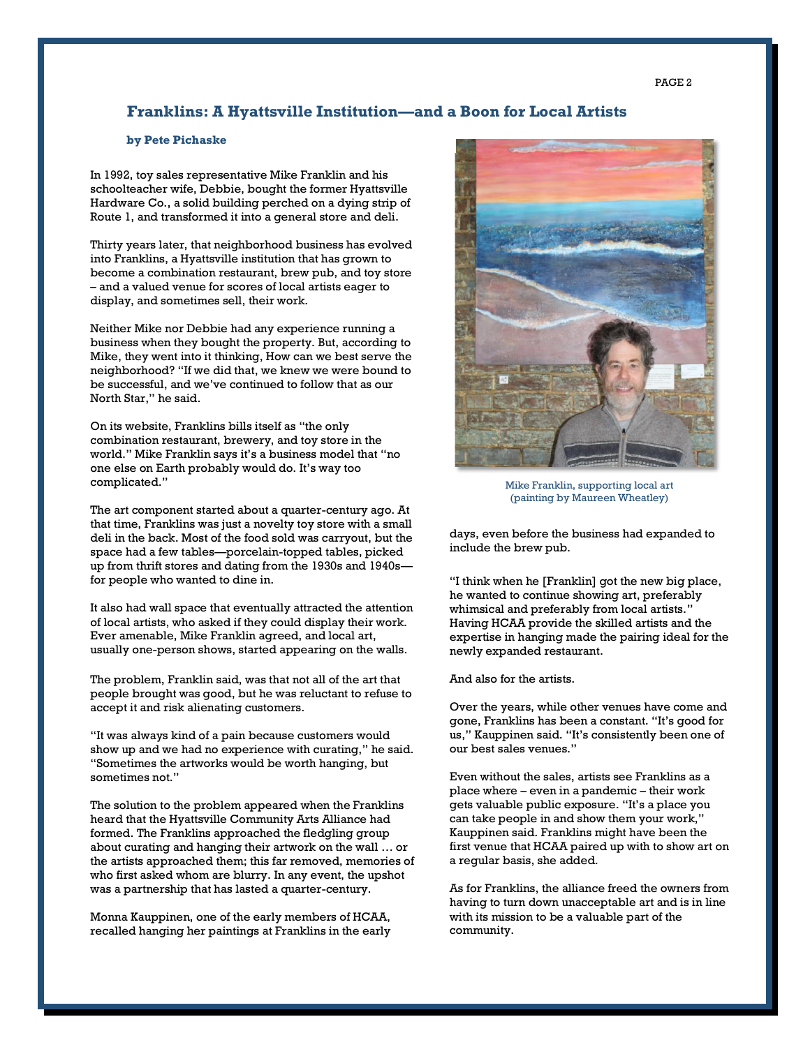#### **Franklins: A Hyattsville Institution—and a Boon for Local Artists**

#### **by Pete Pichaske**

In 1992, toy sales representative Mike Franklin and his schoolteacher wife, Debbie, bought the former Hyattsville Hardware Co., a solid building perched on a dying strip of Route 1, and transformed it into a general store and deli.

Thirty years later, that neighborhood business has evolved into Franklins, a Hyattsville institution that has grown to become a combination restaurant, brew pub, and toy store – and a valued venue for scores of local artists eager to display, and sometimes sell, their work.

Neither Mike nor Debbie had any experience running a business when they bought the property. But, according to Mike, they went into it thinking, How can we best serve the neighborhood? "If we did that, we knew we were bound to be successful, and we've continued to follow that as our North Star," he said.

On its website, Franklins bills itself as "the only combination restaurant, brewery, and toy store in the world." Mike Franklin says it's a business model that "no one else on Earth probably would do. It's way too complicated."

The art component started about a quarter-century ago. At that time, Franklins was just a novelty toy store with a small deli in the back. Most of the food sold was carryout, but the space had a few tables—porcelain-topped tables, picked up from thrift stores and dating from the 1930s and 1940s for people who wanted to dine in.

It also had wall space that eventually attracted the attention of local artists, who asked if they could display their work. Ever amenable, Mike Franklin agreed, and local art, usually one-person shows, started appearing on the walls.

The problem, Franklin said, was that not all of the art that people brought was good, but he was reluctant to refuse to accept it and risk alienating customers.

"It was always kind of a pain because customers would show up and we had no experience with curating," he said. "Sometimes the artworks would be worth hanging, but sometimes not."

The solution to the problem appeared when the Franklins heard that the Hyattsville Community Arts Alliance had formed. The Franklins approached the fledgling group about curating and hanging their artwork on the wall … or the artists approached them; this far removed, memories of who first asked whom are blurry. In any event, the upshot was a partnership that has lasted a quarter-century.

Monna Kauppinen, one of the early members of HCAA, recalled hanging her paintings at Franklins in the early



Mike Franklin, supporting local art (painting by Maureen Wheatley)

days, even before the business had expanded to include the brew pub.

"I think when he [Franklin] got the new big place, he wanted to continue showing art, preferably whimsical and preferably from local artists." Having HCAA provide the skilled artists and the expertise in hanging made the pairing ideal for the newly expanded restaurant.

And also for the artists.

Over the years, while other venues have come and gone, Franklins has been a constant. "It's good for us," Kauppinen said. "It's consistently been one of our best sales venues."

Even without the sales, artists see Franklins as a place where – even in a pandemic – their work gets valuable public exposure. "It's a place you can take people in and show them your work," Kauppinen said. Franklins might have been the first venue that HCAA paired up with to show art on a regular basis, she added.

As for Franklins, the alliance freed the owners from having to turn down unacceptable art and is in line with its mission to be a valuable part of the community.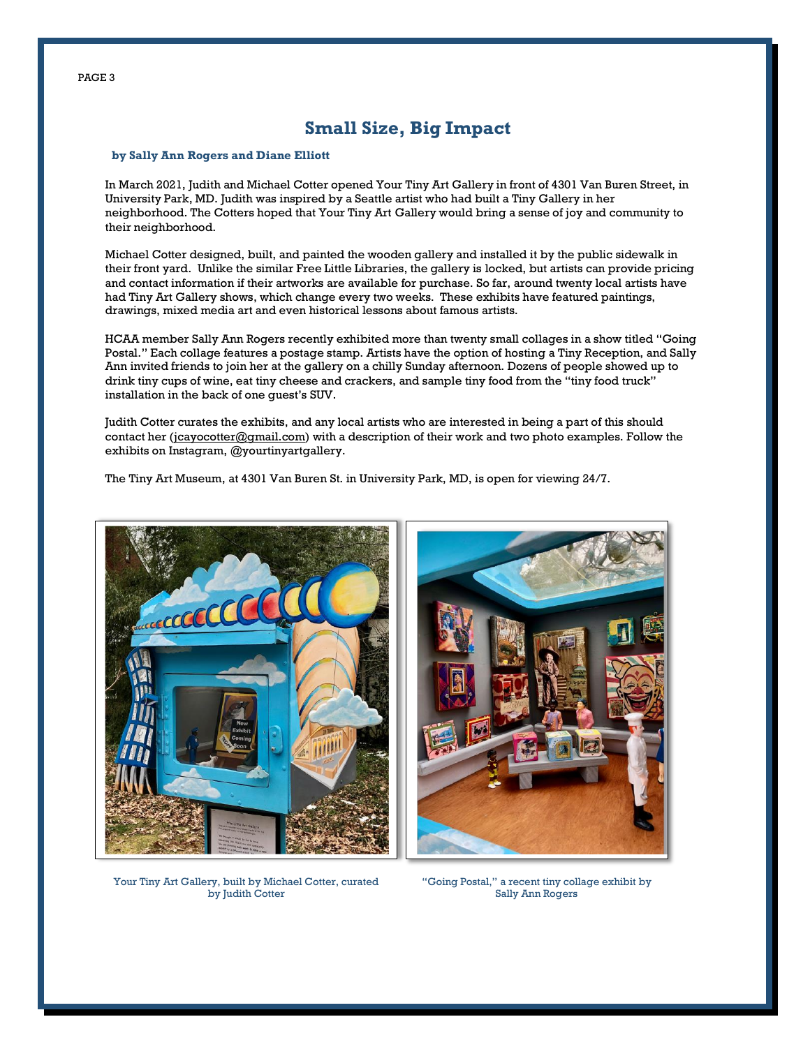## **Small Size, Big Impact**

#### **by Sally Ann Rogers and Diane Elliott**

In March 2021, Judith and Michael Cotter opened Your Tiny Art Gallery in front of 4301 Van Buren Street, in University Park, MD. Judith was inspired by a Seattle artist who had built a Tiny Gallery in her neighborhood. The Cotters hoped that Your Tiny Art Gallery would bring a sense of joy and community to their neighborhood.

Michael Cotter designed, built, and painted the wooden gallery and installed it by the public sidewalk in their front yard. Unlike the similar Free Little Libraries, the gallery is locked, but artists can provide pricing and contact information if their artworks are available for purchase. So far, around twenty local artists have had Tiny Art Gallery shows, which change every two weeks. These exhibits have featured paintings, drawings, mixed media art and even historical lessons about famous artists.

HCAA member Sally Ann Rogers recently exhibited more than twenty small collages in a show titled "Going Postal." Each collage features a postage stamp. Artists have the option of hosting a Tiny Reception, and Sally Ann invited friends to join her at the gallery on a chilly Sunday afternoon. Dozens of people showed up to drink tiny cups of wine, eat tiny cheese and crackers, and sample tiny food from the "tiny food truck" installation in the back of one guest's SUV.

Judith Cotter curates the exhibits, and any local artists who are interested in being a part of this should contact her [\(jcayocotter@gmail.com\)](mailto:jcayocotter@gmail.com) with a description of their work and two photo examples. Follow the exhibits on Instagram, @yourtinyartgallery.

The Tiny Art Museum, at 4301 Van Buren St. in University Park, MD, is open for viewing 24/7.





Your Tiny Art Gallery, built by Michael Cotter, curated by Judith Cotter

"Going Postal," a recent tiny collage exhibit by Sally Ann Rogers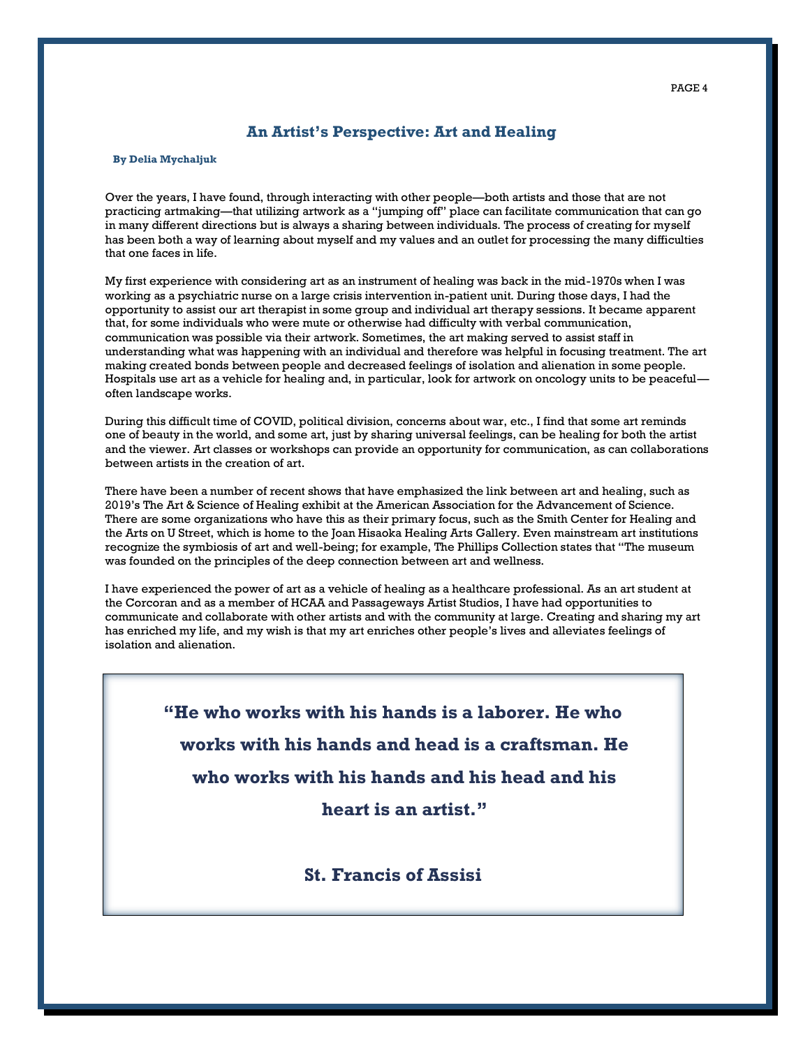#### **An Artist's Perspective: Art and Healing**

#### **By Delia Mychaljuk**

Over the years, I have found, through interacting with other people—both artists and those that are not practicing artmaking—that utilizing artwork as a "jumping off" place can facilitate communication that can go in many different directions but is always a sharing between individuals. The process of creating for myself has been both a way of learning about myself and my values and an outlet for processing the many difficulties that one faces in life.

My first experience with considering art as an instrument of healing was back in the mid-1970s when I was working as a psychiatric nurse on a large crisis intervention in-patient unit. During those days, I had the opportunity to assist our art therapist in some group and individual art therapy sessions. It became apparent that, for some individuals who were mute or otherwise had difficulty with verbal communication, communication was possible via their artwork. Sometimes, the art making served to assist staff in understanding what was happening with an individual and therefore was helpful in focusing treatment. The art making created bonds between people and decreased feelings of isolation and alienation in some people. Hospitals use art as a vehicle for healing and, in particular, look for artwork on oncology units to be peaceful often landscape works.

During this difficult time of COVID, political division, concerns about war, etc., I find that some art reminds one of beauty in the world, and some art, just by sharing universal feelings, can be healing for both the artist and the viewer. Art classes or workshops can provide an opportunity for communication, as can collaborations between artists in the creation of art.

There have been a number of recent shows that have emphasized the link between art and healing, such as 2019's The Art & Science of Healing exhibit at the American Association for the Advancement of Science. There are some organizations who have this as their primary focus, such as the Smith Center for Healing and the Arts on U Street, which is home to the Joan Hisaoka Healing Arts Gallery. Even mainstream art institutions recognize the symbiosis of art and well-being; for example, The Phillips Collection states that "The museum was founded on the principles of the deep connection between art and wellness.

I have experienced the power of art as a vehicle of healing as a healthcare professional. As an art student at the Corcoran and as a member of HCAA and Passageways Artist Studios, I have had opportunities to communicate and collaborate with other artists and with the community at large. Creating and sharing my art has enriched my life, and my wish is that my art enriches other people's lives and alleviates feelings of isolation and alienation.

**"He who works with his hands is a laborer. He who works with his hands and head is a craftsman. He who works with his hands and his head and his** 

**heart is an artist."** 

**St. Francis of Assisi**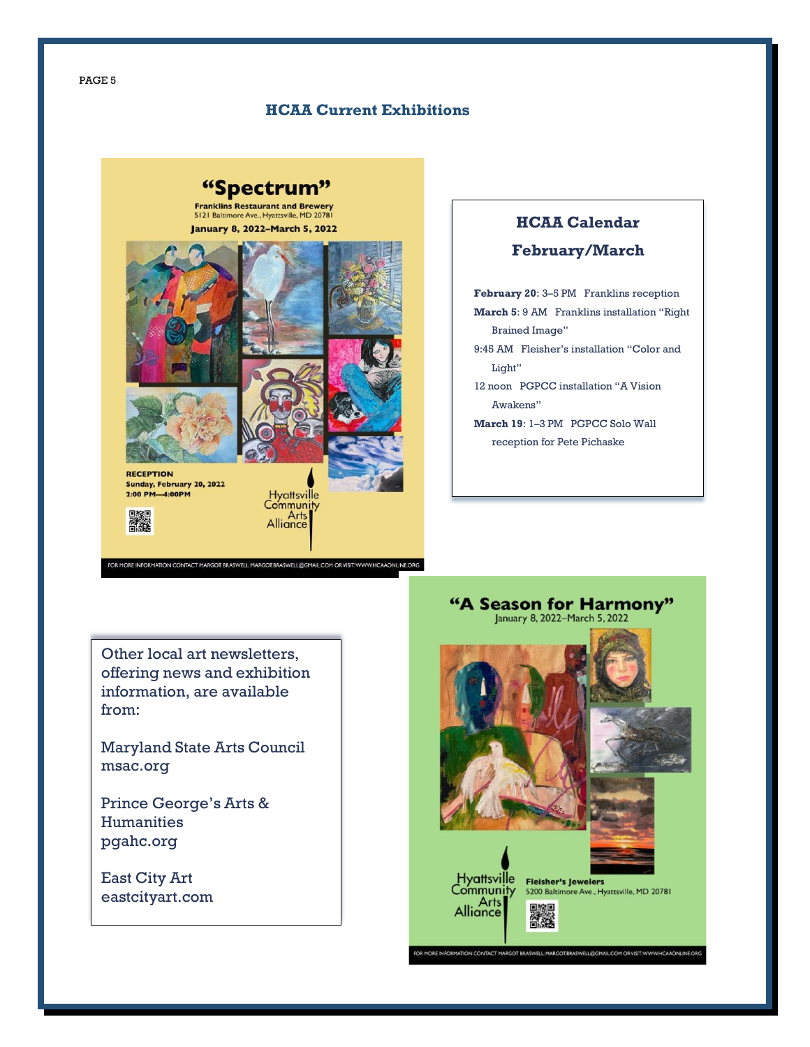PAGE 5

#### **HCAA Current Exhibitions**

# "Spectrum"

**Franklins Restaurant and Brewery**<br>5121 Baltimore Ave., Hyattsville, MD 20781 **January 8, 2022-March 5, 2022** 



-<br>FOR MORE INFORMATION CONTACT MARGOT BRASWELL: MARGOT.BRASWELL@GMAIL.COM OR VISIT: WWW.HCAAONLINE.ORG

# **HCAA Calendar**

#### **February/March**

**February 20**: 3–5 PM Franklins reception **March 5**: 9 AM Franklins installation "Right Brained Image" 9:45 AM Fleisher's installation "Color and Light" 12 noon PGPCC installation "A Vision Awakens" **March 19**: 1–3 PM PGPCC Solo Wall

reception for Pete Pichaske

Other local art newsletters, offering news and exhibition information, are available from:

Maryland State Arts Council msac.org

Prince George's Arts & Humanities pgahc.org

East City Art eastcityart.com